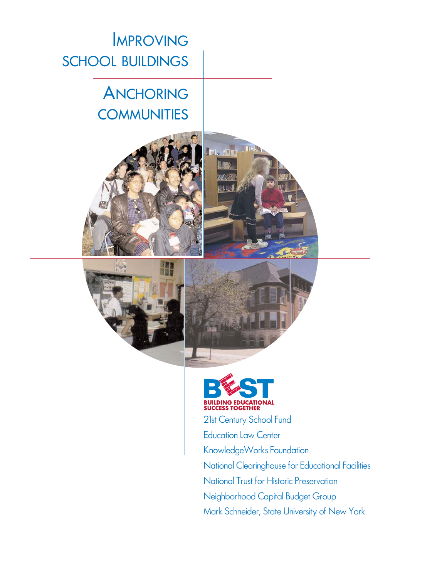IMPROVING SCHOOL BUILDINGS

# ANCHORING **COMMUNITIES**





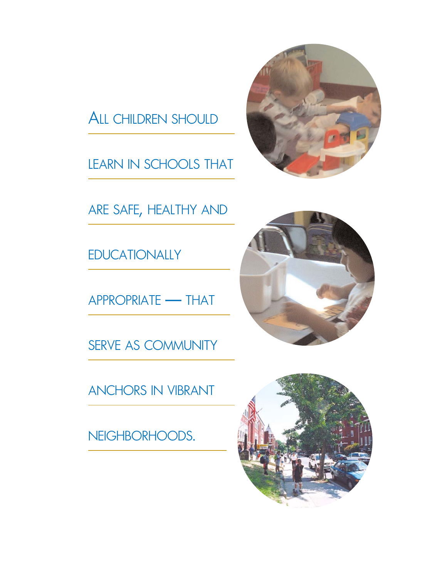

LEARN IN SCHOOLS THAT



ARE SAFE, HEALTHY AND

**EDUCATIONALLY** 

APPROPRIATE — THAT

SERVE AS COMMUNITY

ANCHORS IN VIBRANT

NEIGHBORHOODS.



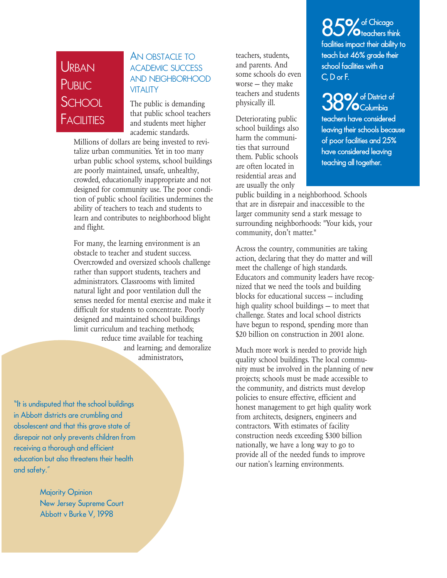## **URBAN PUBLIC SCHOOL FACILITIES**

#### AN OBSTACLE TO ACADEMIC SUCCESS AND NEIGHBORHOOD **VITALITY**

The public is demanding that public school teachers and students meet higher academic standards.

Millions of dollars are being invested to revitalize urban communities. Yet in too many urban public school systems, school buildings are poorly maintained, unsafe, unhealthy, crowded, educationally inappropriate and not designed for community use. The poor condition of public school facilities undermines the ability of teachers to teach and students to learn and contributes to neighborhood blight and flight.

For many, the learning environment is an obstacle to teacher and student success. Overcrowded and oversized schools challenge rather than support students, teachers and administrators. Classrooms with limited natural light and poor ventilation dull the senses needed for mental exercise and make it difficult for students to concentrate. Poorly designed and maintained school buildings limit curriculum and teaching methods; reduce time available for teaching and learning; and demoralize administrators,

"It is undisputed that the school buildings in Abbott districts are crumbling and obsolescent and that this grave state of disrepair not only prevents children from receiving a thorough and efficient education but also threatens their health and safety."

> Majority Opinion New Jersey Supreme Court Abbott v Burke V, 1998

teachers, students, and parents. And some schools do even worse — they make teachers and students physically ill.

Deteriorating public school buildings also harm the communities that surround them. Public schools are often located in residential areas and are usually the only

85% of Chicago<br>85% **O**teachers think facilities impact their ability to teach but 46% grade their school facilities with a C, D or F.

38% of District of teachers have considered leaving their schools because of poor facilities and 25% have considered leaving teaching all together.

public building in a neighborhood. Schools that are in disrepair and inaccessible to the larger community send a stark message to surrounding neighborhoods: "Your kids, your community, don't matter."

Across the country, communities are taking action, declaring that they do matter and will meet the challenge of high standards. Educators and community leaders have recognized that we need the tools and building blocks for educational success — including high quality school buildings — to meet that challenge. States and local school districts have begun to respond, spending more than \$20 billion on construction in 2001 alone.

Much more work is needed to provide high quality school buildings. The local community must be involved in the planning of new projects; schools must be made accessible to the community, and districts must develop policies to ensure effective, efficient and honest management to get high quality work from architects, designers, engineers and contractors. With estimates of facility construction needs exceeding \$300 billion nationally, we have a long way to go to provide all of the needed funds to improve our nation's learning environments.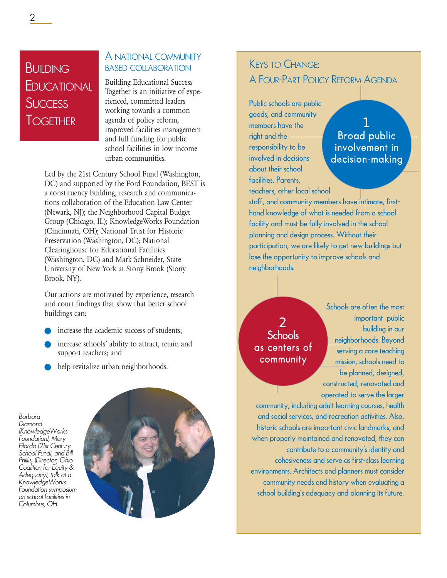## **BUILDING F**DUCATIONAL **SUCCESS TOGETHER**

## A NATIONAL COMMUNITY BASED COLLABORATION

Building Educational Success Together is an initiative of experienced, committed leaders working towards a common agenda of policy reform, improved facilities management and full funding for public school facilities in low income urban communities.

Led by the 21st Century School Fund (Washington, DC) and supported by the Ford Foundation, BEST is a constituency building, research and communications collaboration of the Education Law Center (Newark, NJ); the Neighborhood Capital Budget Group (Chicago, IL); KnowledgeWorks Foundation (Cincinnati, OH); National Trust for Historic Preservation (Washington, DC); National Clearinghouse for Educational Facilities (Washington, DC) and Mark Schneider, State University of New York at Stony Brook (Stony Brook, NY).

Our actions are motivated by experience, research and court findings that show that better school buildings can:

- increase the academic success of students:
- increase schools' ability to attract, retain and support teachers; and
- help revitalize urban neighborhoods.

*Barbara Diamond (KnowledgeWorks Foundation), Mary Filardo (21st Century School Fund), and Bill Phillis, (Director, Ohio Coalition for Equity & Adequacy), talk at a KnowledgeWorks Foundation symposium on school facilities in Columbus, OH.*



## KEYS TO CHANGE: A FOUR-PART POLICY REFORM AGENDA

Public schools are public goods, and community members have the right and the responsibility to be involved in decisions about their school facilities. Parents, teachers, other local school

1 Broad public involvement in decision-making

staff, and community members have intimate, firsthand knowledge of what is needed from a school facility and must be fully involved in the school planning and design process. Without their participation, we are likely to get new buildings but lose the opportunity to improve schools and neighborhoods.

2 **Schools** as centers of community

Schools are often the most important public building in our neighborhoods. Beyond serving a core teaching mission, schools need to be planned, designed, constructed, renovated and operated to serve the larger

community, including adult learning courses, health and social services, and recreation activities. Also, historic schools are important civic landmarks, and when properly maintained and renovated, they can contribute to a community's identity and cohesiveness and serve as first-class learning environments. Architects and planners must consider community needs and history when evaluating a school building's adequacy and planning its future.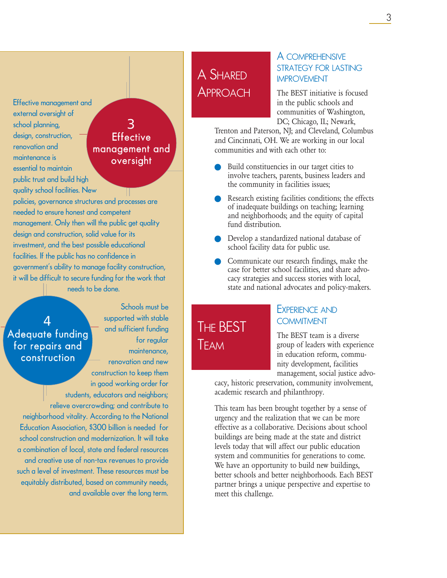Effective management and external oversight of school planning, design, construction, renovation and maintenance is essential to maintain public trust and build high

## 3 **Effective** management and oversight

quality school facilities. New policies, governance structures and processes are needed to ensure honest and competent management. Only then will the public get quality design and construction, solid value for its investment, and the best possible educational facilities. If the public has no confidence in government's ability to manage facility construction, it will be difficult to secure funding for the work that needs to be done.

## 4 Adequate funding for repairs and construction

Schools must be supported with stable and sufficient funding for regular maintenance, renovation and new

construction to keep them in good working order for students, educators and neighbors; relieve overcrowding; and contribute to neighborhood vitality. According to the National Education Association, \$300 billion is needed for school construction and modernization. It will take a combination of local, state and federal resources and creative use of non-tax revenues to provide such a level of investment. These resources must be equitably distributed, based on community needs, and available over the long term.

## A SHARED **APPROACH**

THE BEST

TEAM

#### A COMPREHENSIVE STRATEGY FOR LASTING IMPROVEMENT

The BEST initiative is focused in the public schools and communities of Washington, DC; Chicago, IL; Newark,

Trenton and Paterson, NJ; and Cleveland, Columbus and Cincinnati, OH. We are working in our local communities and with each other to:

- Build constituencies in our target cities to involve teachers, parents, business leaders and the community in facilities issues;
- Research existing facilities conditions; the effects of inadequate buildings on teaching; learning and neighborhoods; and the equity of capital fund distribution.
- Develop a standardized national database of school facility data for public use.
- Communicate our research findings, make the case for better school facilities, and share advocacy strategies and success stories with local, state and national advocates and policy-makers.

### EXPERIENCE AND **COMMITMENT**

The BEST team is a diverse group of leaders with experience in education reform, community development, facilities management, social justice advo-

cacy, historic preservation, community involvement, academic research and philanthropy.

This team has been brought together by a sense of urgency and the realization that we can be more effective as a collaborative. Decisions about school buildings are being made at the state and district levels today that will affect our public education system and communities for generations to come. We have an opportunity to build new buildings, better schools and better neighborhoods. Each BEST partner brings a unique perspective and expertise to meet this challenge.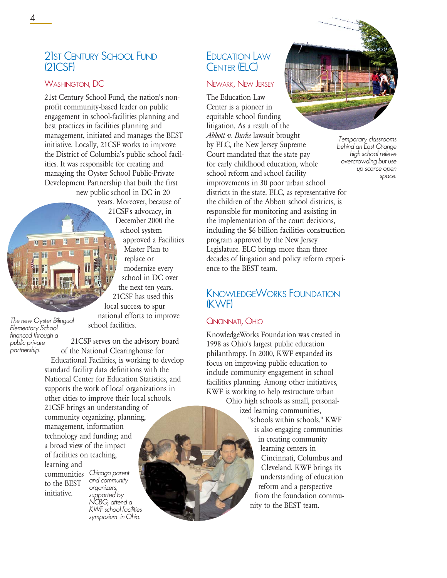## 21ST CENTURY SCHOOL FUND (21CSF)

#### WASHINGTON, DC

21st Century School Fund, the nation's nonprofit community-based leader on public engagement in school-facilities planning and best practices in facilities planning and management, initiated and manages the BEST initiative. Locally, 21CSF works to improve the District of Columbia's public school facilities. It was responsible for creating and managing the Oyster School Public-Private Development Partnership that built the first new public school in DC in 20

years. Moreover, because of



21CSF's advocacy, in December 2000 the school system approved a Facilities Master Plan to replace or modernize every school in DC over the next ten years. 21CSF has used this local success to spur

*The new Oyster Bilingual Elementary School financed through a public private partnership.*

21CSF serves on the advisory board of the National Clearinghouse for

school facilities.

Educational Facilities, is working to develop standard facility data definitions with the National Center for Education Statistics, and supports the work of local organizations in other cities to improve their local schools. 21CSF brings an understanding of community organizing, planning, management, information technology and funding; and a broad view of the impact of facilities on teaching, learning and

to the BEST initiative.

communities *Chicago parent and community organizers, supported by NCBG, attend a KWF school facilities symposium in Ohio.*

## EDUCATION LAW CENTER (ELC)

#### NEWARK, NEW JERSEY

The Education Law Center is a pioneer in equitable school funding litigation. As a result of the *Abbott v. Burke* lawsuit brought by ELC, the New Jersey Supreme Court mandated that the state pay for early childhood education, whole school reform and school facility improvements in 30 poor urban school districts in the state. ELC, as representative for the children of the Abbott school districts, is responsible for monitoring and assisting in the implementation of the court decisions, including the \$6 billion facilities construction program approved by the New Jersey Legislature. ELC brings more than three decades of litigation and policy reform experience to the BEST team.

## KNOWLEDGEWORKS FOUNDATION (KWF)

#### CINCINNATI, OHIO

KnowledgeWorks Foundation was created in 1998 as Ohio's largest public education philanthropy. In 2000, KWF expanded its focus on improving public education to include community engagement in school facilities planning. Among other initiatives, KWF is working to help restructure urban

Ohio high schools as small, personalized learning communities, "schools within schools." KWF is also engaging communities in creating community learning centers in Cincinnati, Columbus and Cleveland. KWF brings its understanding of education reform and a perspective from the foundation community to the BEST team.

*Temporary classrooms behind an East Orange high school relieve overcrowding but use up scarce open space.*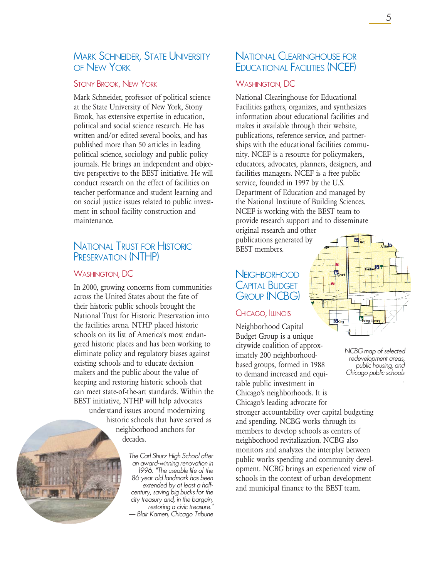### MARK SCHNEIDER, STATE UNIVERSITY OF NEW YORK

#### STONY BROOK, NEW YORK

Mark Schneider, professor of political science at the State University of New York, Stony Brook, has extensive expertise in education, political and social science research. He has written and/or edited several books, and has published more than 50 articles in leading political science, sociology and public policy journals. He brings an independent and objective perspective to the BEST initiative. He will conduct research on the effect of facilities on teacher performance and student learning and on social justice issues related to public investment in school facility construction and maintenance.

### NATIONAL TRUST FOR HISTORIC PRESERVATION (NTHP)

#### WASHINGTON, DC

In 2000, growing concerns from communities across the United States about the fate of their historic public schools brought the National Trust for Historic Preservation into the facilities arena. NTHP placed historic schools on its list of America's most endangered historic places and has been working to eliminate policy and regulatory biases against existing schools and to educate decision makers and the public about the value of keeping and restoring historic schools that can meet state-of-the-art standards. Within the BEST initiative, NTHP will help advocates understand issues around modernizing historic schools that have served as

neighborhood anchors for decades.

> *The Carl Shurz High School after an award-winning renovation in 1996. "The useable life of the 86-year-old landmark has been extended by at least a halfcentury, saving big bucks for the city treasury and, in the bargain, restoring a civic treasure." — Blair Kamen, Chicago Tribune*

### NATIONAL CLEARINGHOUSE FOR EDUCATIONAL FACILITIES (NCEF)

#### WASHINGTON, DC

National Clearinghouse for Educational Facilities gathers, organizes, and synthesizes information about educational facilities and makes it available through their website, publications, reference service, and partnerships with the educational facilities community. NCEF is a resource for policymakers, educators, advocates, planners, designers, and facilities managers. NCEF is a free public service, founded in 1997 by the U.S. Department of Education and managed by the National Institute of Building Sciences. NCEF is working with the BEST team to provide research support and to disseminate

original research and other publications generated by BEST members.

## **NEIGHBORHOOD** CAPITAL BUDGET GROUP (NCBG)

#### CHICAGO, ILLINOIS

Neighborhood Capital Budget Group is a unique citywide coalition of approximately 200 neighborhoodbased groups, formed in 1988 to demand increased and equitable public investment in Chicago's neighborhoods. It is Chicago's leading advocate for stronger accountability over capital budgeting and spending. NCBG works through its members to develop schools as centers of neighborhood revitalization. NCBG also monitors and analyzes the interplay between public works spending and community development. NCBG brings an experienced view of schools in the context of urban development and municipal finance to the BEST team.



*NCBG map of selected redevelopment areas, public housing, and Chicago public schools*

*.*